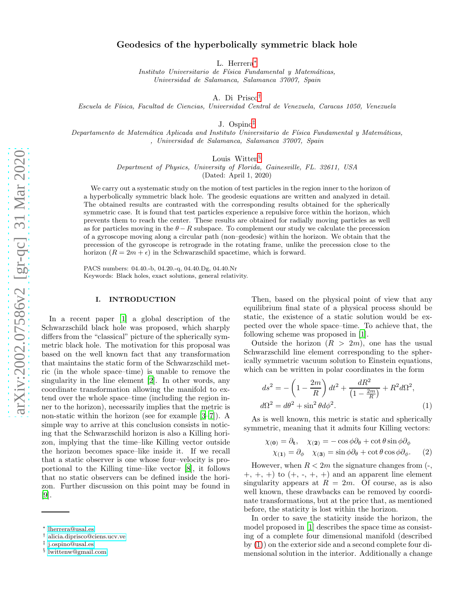# Geodesics of the hyperbolically symmetric black hole

L. Herrera[∗](#page-0-0)

*Instituto Universitario de F´ısica Fundamental y Matem´aticas, Universidad de Salamanca, Salamanca 37007, Spain*

A. Di Prisco[†](#page-0-1)

*Escuela de F´ısica, Facultad de Ciencias, Universidad Central de Venezuela, Caracas 1050, Venezuela*

J. Ospino[‡](#page-0-2)

*Departamento de Matem´atica Aplicada and Instituto Universitario de F´ısica Fundamental y Matem´aticas, , Universidad de Salamanca, Salamanca 37007, Spain*

Louis Witten<sup>[§](#page-0-3)</sup>

*Department of Physics, University of Florida, Gainesville, FL. 32611, USA*

(Dated: April 1, 2020)

We carry out a systematic study on the motion of test particles in the region inner to the horizon of a hyperbolically symmetric black hole. The geodesic equations are written and analyzed in detail. The obtained results are contrasted with the corresponding results obtained for the spherically symmetric case. It is found that test particles experience a repulsive force within the horizon, which prevents them to reach the center. These results are obtained for radially moving particles as well as for particles moving in the  $\theta - R$  subspace. To complement our study we calculate the precession of a gyroscope moving along a circular path (non–geodesic) within the horizon. We obtain that the precession of the gyroscope is retrograde in the rotating frame, unlike the precession close to the horizon  $(R = 2m + \epsilon)$  in the Schwarzschild spacetime, which is forward.

PACS numbers: 04.40.-b, 04.20.-q, 04.40.Dg, 04.40.Nr Keywords: Black holes, exact solutions, general relativity.

#### I. INTRODUCTION

In a recent paper [\[1\]](#page-7-0) a global description of the Schwarzschild black hole was proposed, which sharply differs from the "classical" picture of the spherically symmetric black hole. The motivation for this proposal was based on the well known fact that any transformation that maintains the static form of the Schwarzschild metric (in the whole space–time) is unable to remove the singularity in the line element [\[2](#page-7-1)]. In other words, any coordinate transformation allowing the manifold to extend over the whole space–time (including the region inner to the horizon), necessarily implies that the metric is non-static within the horizon (see for example [\[3](#page-7-2)[–7](#page-7-3)]). A simple way to arrive at this conclusion consists in noticing that the Schwarzschild horizon is also a Killing horizon, implying that the time–like Killing vector outside the horizon becomes space–like inside it. If we recall that a static observer is one whose four–velocity is proportional to the Killing time–like vector [\[8\]](#page-7-4), it follows that no static observers can be defined inside the horizon. Further discussion on this point may be found in [\[9\]](#page-7-5).

Then, based on the physical point of view that any equilibrium final state of a physical process should be static, the existence of a static solution would be expected over the whole space–time. To achieve that, the following scheme was proposed in [\[1](#page-7-0)].

Outside the horizon  $(R > 2m)$ , one has the usual Schwarzschild line element corresponding to the spherically symmetric vacuum solution to Einstein equations, which can be written in polar coordinates in the form

<span id="page-0-4"></span>
$$
ds^2 = -\left(1 - \frac{2m}{R}\right)dt^2 + \frac{dR^2}{\left(1 - \frac{2m}{R}\right)} + R^2d\Omega^2,
$$
  

$$
d\Omega^2 = d\theta^2 + \sin^2\theta d\phi^2.
$$
 (1)

As is well known, this metric is static and spherically symmetric, meaning that it admits four Killing vectors:

$$
\chi_{(\mathbf{0})} = \partial_{\mathbf{t}}, \quad \chi_{(\mathbf{2})} = -\cos\phi\partial_{\theta} + \cot\theta\sin\phi\partial_{\phi}
$$

$$
\chi_{(\mathbf{1})} = \partial_{\phi} \quad \chi_{(\mathbf{3})} = \sin\phi\partial_{\theta} + \cot\theta\cos\phi\partial_{\phi}. \tag{2}
$$

However, when  $R < 2m$  the signature changes from  $\left(-\right)$ ,  $+, +, +$  to  $(+, -, +, +)$  and an apparent line element singularity appears at  $R = 2m$ . Of course, as is also well known, these drawbacks can be removed by coordinate transformations, but at the price that, as mentioned before, the staticity is lost within the horizon.

In order to save the staticity inside the horizon, the model proposed in [\[1](#page-7-0)] describes the space time as consisting of a complete four dimensional manifold (described by [\(1\)](#page-0-4)) on the exterior side and a second complete four dimensional solution in the interior. Additionally a change

<span id="page-0-0"></span><sup>∗</sup> [lherrera@usal.es](mailto:lherrera@usal.es)

<span id="page-0-1"></span><sup>†</sup> [alicia.diprisco@ciens.ucv.ve](mailto:alicia.diprisco@ciens.ucv.ve)

<span id="page-0-2"></span><sup>‡</sup> [j.ospino@usal.es](mailto:j.ospino@usal.es)

<span id="page-0-3"></span><sup>§</sup> [lwittenw@gmail.com](mailto:lwittenw@gmail.com)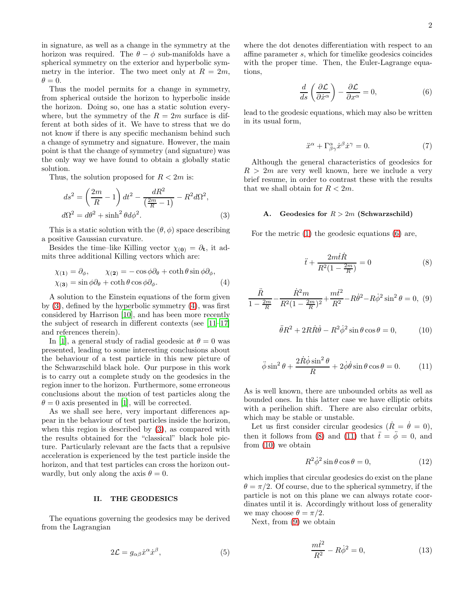in signature, as well as a change in the symmetry at the horizon was required. The  $\theta - \phi$  sub-manifolds have a spherical symmetry on the exterior and hyperbolic symmetry in the interior. The two meet only at  $R = 2m$ ,  $\theta = 0.$ 

Thus the model permits for a change in symmetry, from spherical outside the horizon to hyperbolic inside the horizon. Doing so, one has a static solution everywhere, but the symmetry of the  $R = 2m$  surface is different at both sides of it. We have to stress that we do not know if there is any specific mechanism behind such a change of symmetry and signature. However, the main point is that the change of symmetry (and signature) was the only way we have found to obtain a globally static solution.

Thus, the solution proposed for  $R < 2m$  is:

<span id="page-1-0"></span>
$$
ds^2 = \left(\frac{2m}{R} - 1\right)dt^2 - \frac{dR^2}{\left(\frac{2m}{R} - 1\right)} - R^2d\Omega^2,
$$
  

$$
d\Omega^2 = d\theta^2 + \sinh^2\theta d\phi^2.
$$
 (3)

This is a static solution with the  $(\theta, \phi)$  space describing a positive Gaussian curvature.

Besides the time–like Killing vector  $\chi_{(0)} = \partial_t$ , it admits three additional Killing vectors which are:

<span id="page-1-1"></span>
$$
\chi_{(1)} = \partial_{\phi}, \qquad \chi_{(2)} = -\cos\phi\partial_{\theta} + \coth\theta\sin\phi\partial_{\phi},
$$
  

$$
\chi_{(3)} = \sin\phi\partial_{\theta} + \coth\theta\cos\phi\partial_{\phi}.
$$
 (4)

A solution to the Einstein equations of the form given by [\(3\)](#page-1-0), defined by the hyperbolic symmetry [\(4\)](#page-1-1), was first considered by Harrison [\[10](#page-7-6)], and has been more recently the subject of research in different contexts (see [\[11](#page-7-7)[–17\]](#page-7-8) and references therein).

In [\[1](#page-7-0)], a general study of radial geodesic at  $\theta = 0$  was presented, leading to some interesting conclusions about the behaviour of a test particle in this new picture of the Schwarzschild black hole. Our purpose in this work is to carry out a complete study on the geodesics in the region inner to the horizon. Furthermore, some erroneous conclusions about the motion of test particles along the  $\theta = 0$  axis presented in [\[1\]](#page-7-0), will be corrected.

As we shall see here, very important differences appear in the behaviour of test particles inside the horizon, when this region is described by [\(3\)](#page-1-0), as compared with the results obtained for the "classical" black hole picture. Particularly relevant are the facts that a repulsive acceleration is experienced by the test particle inside the horizon, and that test particles can cross the horizon outwardly, but only along the axis  $\theta = 0$ .

#### II. THE GEODESICS

The equations governing the geodesics may be derived from the Lagrangian

$$
2\mathcal{L} = g_{\alpha\beta}\dot{x}^{\alpha}\dot{x}^{\beta},\tag{5}
$$

<span id="page-1-2"></span>where the dot denotes differentiation with respect to an affine parameter s, which for timelike geodesics coincides with the proper time. Then, the Euler-Lagrange equations,

$$
\frac{d}{ds}\left(\frac{\partial \mathcal{L}}{\partial \dot{x}^{\alpha}}\right) - \frac{\partial \mathcal{L}}{\partial x^{\alpha}} = 0, \tag{6}
$$

<span id="page-1-7"></span>lead to the geodesic equations, which may also be written in its usual form,

$$
\ddot{x}^{\alpha} + \Gamma^{\alpha}_{\beta\gamma}\dot{x}^{\beta}\dot{x}^{\gamma} = 0. \tag{7}
$$

Although the general characteristics of geodesics for  $R > 2m$  are very well known, here we include a very brief resume, in order to contrast these with the results that we shall obtain for  $R < 2m$ .

## A. Geodesics for  $R > 2m$  (Schwarzschild)

<span id="page-1-3"></span>For the metric [\(1\)](#page-0-4) the geodesic equations [\(6\)](#page-1-2) are,

$$
\ddot{t} + \frac{2m\dot{t}\dot{R}}{R^2(1 - \frac{2m}{R})} = 0\tag{8}
$$

<span id="page-1-6"></span><span id="page-1-5"></span>
$$
\frac{\ddot{R}}{1 - \frac{2m}{R}} - \frac{\dot{R}^2 m}{R^2 (1 - \frac{2m}{R})^2} + \frac{m\dot{t}^2}{R^2} - R\dot{\theta}^2 - R\dot{\phi}^2 \sin^2 \theta = 0, \tag{9}
$$

$$
\ddot{\theta}R^2 + 2R\dot{R}\dot{\theta} - R^2\dot{\phi}^2\sin\theta\cos\theta = 0, \qquad (10)
$$

<span id="page-1-4"></span>
$$
\ddot{\phi}\sin^2\theta + \frac{2\dot{R}\dot{\phi}\sin^2\theta}{R} + 2\dot{\phi}\dot{\theta}\sin\theta\cos\theta = 0.
$$
 (11)

As is well known, there are unbounded orbits as well as bounded ones. In this latter case we have elliptic orbits with a perihelion shift. There are also circular orbits, which may be stable or unstable.

Let us first consider circular geodesics  $(R = \dot{\theta} = 0),$ then it follows from [\(8\)](#page-1-3) and [\(11\)](#page-1-4) that  $\ddot{t} = \ddot{\phi} = 0$ , and from [\(10\)](#page-1-5) we obtain

$$
R^2 \dot{\phi}^2 \sin \theta \cos \theta = 0,\tag{12}
$$

which implies that circular geodesics do exist on the plane  $\theta = \pi/2$ . Of course, due to the spherical symmetry, if the particle is not on this plane we can always rotate coordinates until it is. Accordingly without loss of generality we may choose  $\theta = \pi/2$ .

Next, from [\(9\)](#page-1-6) we obtain

$$
\frac{mt^2}{R^2} - R\dot{\phi}^2 = 0,\t\t(13)
$$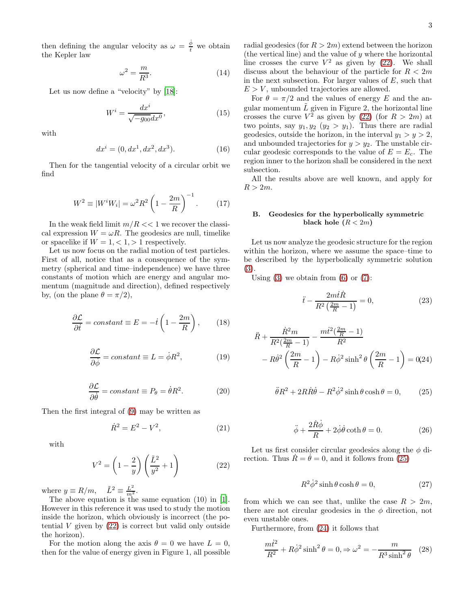3

then defining the angular velocity as  $\omega = \frac{\dot{\phi}}{t}$  we obtain the Kepler law

$$
\omega^2 = \frac{m}{R^3}.\tag{14}
$$

Let us now define a "velocity" by [\[18\]](#page-7-9):

$$
W^i = \frac{dx^i}{\sqrt{-g_{00}}dx^0},\tag{15}
$$

with

$$
dx^{i} = (0, dx^{1}, dx^{2}, dx^{3}).
$$
 (16)

Then for the tangential velocity of a circular orbit we find

$$
W^{2} \equiv |W^{i}W_{i}| = \omega^{2}R^{2}\left(1 - \frac{2m}{R}\right)^{-1}.
$$
 (17)

In the weak field limit  $m/R < 1$  we recover the classical expression  $W = \omega R$ . The geodesics are null, timelike or spacelike if  $W = 1, \langle 1, \rangle 1$  respectively.

Let us now focus on the radial motion of test particles. First of all, notice that as a consequence of the symmetry (spherical and time–independence) we have three constants of motion which are energy and angular momentum (magnitude and direction), defined respectively by, (on the plane  $\theta = \pi/2$ ),

$$
\frac{\partial \mathcal{L}}{\partial \dot{t}} = constant \equiv E = -\dot{t} \left( 1 - \frac{2m}{R} \right), \qquad (18)
$$

$$
\frac{\partial \mathcal{L}}{\partial \dot{\phi}} = constant \equiv L = \dot{\phi} R^2,
$$
 (19)

$$
\frac{\partial \mathcal{L}}{\partial \dot{\theta}} = constant \equiv P_{\theta} = \dot{\theta} R^2.
$$
 (20)

Then the first integral of [\(9\)](#page-1-6) may be written as

$$
\dot{R}^2 = E^2 - V^2,\t\t(21)
$$

<span id="page-2-0"></span>with

$$
V^2 = \left(1 - \frac{2}{y}\right) \left(\frac{\tilde{L}^2}{y^2} + 1\right) \tag{22}
$$

where  $y \equiv R/m$ ,  $\tilde{L}^2 \equiv \frac{L^2}{m^2}$ .

The above equation is the same equation (10) in [\[1\]](#page-7-0). However in this reference it was used to study the motion inside the horizon, which obviously is incorrect (the potential  $V$  given by  $(22)$  is correct but valid only outside the horizon).

For the motion along the axis  $\theta = 0$  we have  $L = 0$ , then for the value of energy given in Figure 1, all possible

radial geodesics (for  $R > 2m$ ) extend between the horizon (the vertical line) and the value of  $y$  where the horizontal line crosses the curve  $V^2$  as given by [\(22\)](#page-2-0). We shall discuss about the behaviour of the particle for  $R < 2m$ in the next subsection. For larger values of  $E$ , such that  $E > V$ , unbounded trajectories are allowed.

For  $\theta = \pi/2$  and the values of energy E and the angular momentum  $\tilde{L}$  given in Figure 2, the horizontal line crosses the curve  $V^2$  as given by [\(22\)](#page-2-0) (for  $R > 2m$ ) at two points, say  $y_1, y_2$   $(y_2 > y_1)$ . Thus there are radial geodesics, outside the horizon, in the interval  $y_1 > y > 2$ , and unbounded trajectories for  $y > y_2$ . The unstable circular geodesic corresponds to the value of  $E = E_c$ . The region inner to the horizon shall be considered in the next subsection.

All the results above are well known, and apply for  $R > 2m$ .

### B. Geodesics for the hyperbolically symmetric black hole  $(R < 2m)$

Let us now analyze the geodesic structure for the region within the horizon, where we assume the space–time to be described by the hyperbolically symmetric solution [\(3\)](#page-1-0).

Using  $(3)$  we obtain from  $(6)$  or  $(7)$ :

$$
\ddot{t} - \frac{2m\dot{t}\dot{R}}{R^2\left(\frac{2m}{R} - 1\right)} = 0,\tag{23}
$$

<span id="page-2-2"></span>
$$
\ddot{R} + \frac{\dot{R}^2 m}{R^2(\frac{2m}{R} - 1)} - \frac{mt^2(\frac{2m}{R} - 1)}{R^2} - R\dot{\theta}^2(\frac{2m}{R} - 1) - R\dot{\phi}^2\sinh^2\theta(\frac{2m}{R} - 1) = 0
$$
\n(24)

<span id="page-2-1"></span>
$$
\ddot{\theta}R^2 + 2R\dot{R}\dot{\theta} - R^2\dot{\phi}^2\sinh\theta\cosh\theta = 0, \qquad (25)
$$

$$
\ddot{\phi} + \frac{2\dot{R}\dot{\phi}}{R} + 2\dot{\phi}\dot{\theta}\coth\theta = 0.
$$
 (26)

Let us first consider circular geodesics along the  $\phi$  direction. Thus  $\dot{R} = \dot{\theta} = 0$ , and it follows from [\(25\)](#page-2-1)

$$
R^2 \dot{\phi}^2 \sinh \theta \cosh \theta = 0, \qquad (27)
$$

from which we can see that, unlike the case  $R > 2m$ , there are not circular geodesics in the  $\phi$  direction, not even unstable ones.

Furthermore, from [\(24\)](#page-2-2) it follows that

$$
\frac{m\dot{t}^2}{R^2} + R\dot{\phi}^2 \sinh^2 \theta = 0, \Rightarrow \omega^2 = -\frac{m}{R^3 \sinh^2 \theta} \quad (28)
$$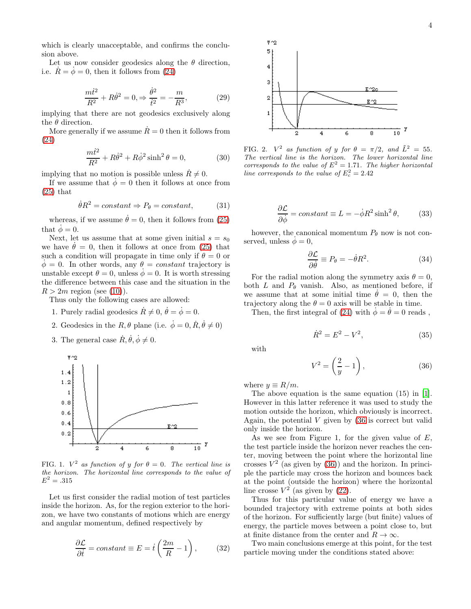which is clearly unacceptable, and confirms the conclusion above.

Let us now consider geodesics along the  $\theta$  direction, i.e.  $\dot{R} = \dot{\phi} = 0$ , then it follows from [\(24\)](#page-2-2)

$$
\frac{m\dot{t}^2}{R^2} + R\dot{\theta}^2 = 0, \Rightarrow \frac{\dot{\theta}^2}{\dot{t}^2} = -\frac{m}{R^3},\tag{29}
$$

implying that there are not geodesics exclusively along the  $\theta$  direction.

More generally if we assume  $\dot{R} = 0$  then it follows from [\(24\)](#page-2-2)

$$
\frac{m\dot{t}^2}{R^2} + R\dot{\theta}^2 + R\dot{\phi}^2\sinh^2\theta = 0,
$$
\n(30)

implying that no motion is possible unless  $\dot{R} \neq 0$ .

If we assume that  $\dot{\phi} = 0$  then it follows at once from  $(25)$  that

$$
\dot{\theta}R^2 = constant \Rightarrow P_{\theta} = constant,\tag{31}
$$

whereas, if we assume  $\dot{\theta} = 0$ , then it follows from [\(25\)](#page-2-1) that  $\phi = 0$ .

Next, let us assume that at some given initial  $s = s_0$ we have  $\theta = 0$ , then it follows at once from [\(25\)](#page-2-1) that such a condition will propagate in time only if  $\theta = 0$  or  $\dot{\phi} = 0$ . In other words, any  $\theta = constant$  trajectory is unstable except  $\theta = 0$ , unless  $\phi = 0$ . It is worth stressing the difference between this case and the situation in the  $R > 2m$  region (see [\(10\)](#page-1-5)).

Thus only the following cases are allowed:

- 1. Purely radial geodesics  $\dot{R} \neq 0, \dot{\theta} = \dot{\phi} = 0.$
- 2. Geodesics in the  $R, \theta$  plane (i.e.  $\dot{\phi} = 0, \dot{R}, \dot{\theta} \neq 0$ )
- 3. The general case  $\dot{R}, \dot{\theta}, \dot{\phi} \neq 0$ .



FIG. 1.  $V^2$  as function of y for  $\theta = 0$ . The vertical line is *the horizon. The horizontal line corresponds to the value of*  $E^2 = .315$ 

Let us first consider the radial motion of test particles inside the horizon. As, for the region exterior to the horizon, we have two constants of motions which are energy and angular momentum, defined respectively by

$$
\frac{\partial \mathcal{L}}{\partial \dot{t}} = constant \equiv E = \dot{t} \left( \frac{2m}{R} - 1 \right), \quad (32)
$$



FIG. 2.  $V^2$  as function of y for  $\theta = \pi/2$ , and  $\tilde{L}^2 = 55$ . *The vertical line is the horizon. The lower horizontal line corresponds to the value of*  $E^2 = 1.71$ *. The higher horizontal* line corresponds to the value of  $E_c^2 = 2.42$ 

$$
\frac{\partial \mathcal{L}}{\partial \dot{\phi}} = constant \equiv L = -\dot{\phi}R^2 \sinh^2 \theta, \qquad (33)
$$

however, the canonical momentum  $P_{\theta}$  now is not conserved, unless  $\phi = 0$ ,

<span id="page-3-1"></span>
$$
\frac{\partial \mathcal{L}}{\partial \dot{\theta}} \equiv P_{\theta} = -\dot{\theta} R^2. \tag{34}
$$

For the radial motion along the symmetry axis  $\theta = 0$ , both L and  $P_{\theta}$  vanish. Also, as mentioned before, if we assume that at some initial time  $\theta = 0$ , then the trajectory along the  $\theta = 0$  axis will be stable in time.

<span id="page-3-2"></span>Then, the first integral of [\(24\)](#page-2-2) with  $\dot{\phi} = \dot{\theta} = 0$  reads,

$$
\dot{R}^2 = E^2 - V^2,\t\t(35)
$$

<span id="page-3-0"></span>with

$$
V^2 = \left(\frac{2}{y} - 1\right),\tag{36}
$$

where  $y \equiv R/m$ .

The above equation is the same equation (15) in [\[1\]](#page-7-0). However in this latter reference it was used to study the motion outside the horizon, which obviously is incorrect. Again, the potential  $V$  given by  $(36$  is correct but valid only inside the horizon.

As we see from Figure 1, for the given value of  $E$ , the test particle inside the horizon never reaches the center, moving between the point where the horizontal line crosses  $V^2$  (as given by [\(36\)](#page-3-0)) and the horizon. In principle the particle may cross the horizon and bounces back at the point (outside the horizon) where the horizontal line crosse  $V^2$  (as given by [\(22\)](#page-2-0).

Thus for this particular value of energy we have a bounded trajectory with extreme points at both sides of the horizon. For sufficiently large (but finite) values of energy, the particle moves between a point close to, but at finite distance from the center and  $R \to \infty$ .

Two main conclusions emerge at this point, for the test particle moving under the conditions stated above: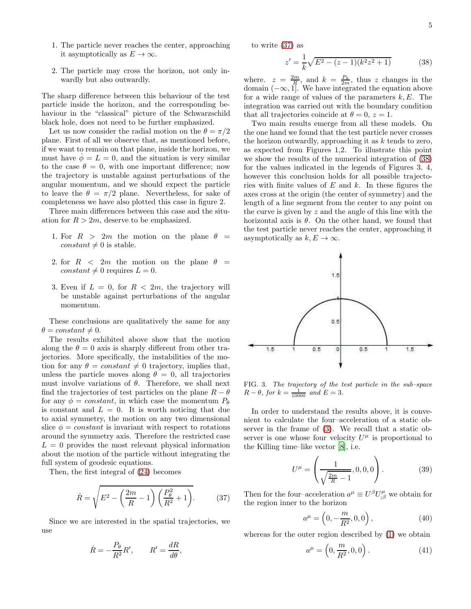- 1. The particle never reaches the center, approaching it asymptotically as  $E \to \infty$ .
- 2. The particle may cross the horizon, not only inwardly but also outwardly.

The sharp difference between this behaviour of the test particle inside the horizon, and the corresponding behaviour in the "classical" picture of the Schwarzschild black hole, does not need to be further emphasized.

Let us now consider the radial motion on the  $\theta = \pi/2$ plane. First of all we observe that, as mentioned before, if we want to remain on that plane, inside the horizon, we must have  $\phi = L = 0$ , and the situation is very similar to the case  $\theta = 0$ , with one important difference; now the trajectory is unstable against perturbations of the angular momentum, and we should expect the particle to leave the  $\theta = \pi/2$  plane. Nevertheless, for sake of completeness we have also plotted this case in figure 2.

Three main differences between this case and the situation for  $R > 2m$ , deserve to be emphasized.

- 1. For  $R > 2m$  the motion on the plane  $\theta =$ constant  $\neq 0$  is stable.
- 2. for  $R < 2m$  the motion on the plane  $\theta =$ constant  $\neq 0$  requires  $L = 0$ .
- 3. Even if  $L = 0$ , for  $R < 2m$ , the trajectory will be unstable against perturbations of the angular momentum.

These conclusions are qualitatively the same for any  $\theta = constant \neq 0.$ 

The results exhibited above show that the motion along the  $\theta = 0$  axis is sharply different from other trajectories. More specifically, the instabilities of the motion for any  $\theta = constant \neq 0$  trajectory, implies that, unless the particle moves along  $\theta = 0$ , all trajectories must involve variations of  $\theta$ . Therefore, we shall next find the trajectories of test particles on the plane  $R - \theta$ for any  $\phi = constant$ , in which case the momentum  $P_{\theta}$ is constant and  $L = 0$ . It is worth noticing that due to axial symmetry, the motion on any two dimensional slice  $\phi = constant$  is invariant with respect to rotations around the symmetry axis. Therefore the restricted case  $L = 0$  provides the most relevant physical information about the motion of the particle without integrating the full system of geodesic equations.

Then, the first integral of [\(24\)](#page-2-2) becomes

$$
\dot{R} = \sqrt{E^2 - \left(\frac{2m}{R} - 1\right) \left(\frac{P_\theta^2}{R^2} + 1\right)}.
$$
 (37)

Since we are interested in the spatial trajectories, we use

$$
\dot{R} = -\frac{P_{\theta}}{R^2}R', \qquad R' = \frac{dR}{d\theta},
$$

to write [\(37\)](#page-4-0) as

<span id="page-4-1"></span>
$$
z' = \frac{1}{k}\sqrt{E^2 - (z-1)(k^2z^2 + 1)}\tag{38}
$$

where.  $z = \frac{2m}{R}$ , and  $k = \frac{P_\theta}{2m}$ , thus z changes in the domain  $(-\infty, 1]$ . We have integrated the equation above for a wide range of values of the parameters  $k, E$ . The integration was carried out with the boundary condition that all trajectories coincide at  $\theta = 0$ ,  $z = 1$ .

Two main results emerge from all these models. On the one hand we found that the test particle never crosses the horizon outwardly, approaching it as  $k$  tends to zero, as expected from Figures 1,2. To illustrate this point we show the results of the numerical integration of [\(38\)](#page-4-1) for the values indicated in the legends of Figures 3, 4, however this conclusion holds for all possible trajectories with finite values of  $E$  and  $k$ . In these figures the axes cross at the origin (the center of symmetry) and the length of a line segment from the center to any point on the curve is given by  $z$  and the angle of this line with the horizontal axis is  $\theta$ . On the other hand, we found that the test particle never reaches the center, approaching it asymptotically as  $k, E \to \infty$ .



FIG. 3. *The trajectory of the test particle in the sub–space*  $R - \theta$ , for  $k = \frac{1}{10000}$  and  $E = 3$ .

In order to understand the results above, it is convenient to calculate the four–acceleration of a static observer in the frame of [\(3\)](#page-1-0). We recall that a static observer is one whose four velocity  $U^{\mu}$  is proportional to the Killing time–like vector [\[8](#page-7-4)], i.e.

$$
U^{\mu} = \left(\frac{1}{\sqrt{\frac{2m}{R} - 1}}, 0, 0, 0\right). \tag{39}
$$

<span id="page-4-0"></span>Then for the four–acceleration  $a^{\mu} \equiv U^{\beta} U^{\mu}_{;\beta}$  we obtain for the region inner to the horizon

<span id="page-4-3"></span>
$$
a^{\mu} = \left(0, -\frac{m}{R^2}, 0, 0\right),\tag{40}
$$

whereas for the outer region described by [\(1\)](#page-0-4) we obtain

<span id="page-4-2"></span>
$$
a^{\mu} = \left(0, \frac{m}{R^2}, 0, 0\right). \tag{41}
$$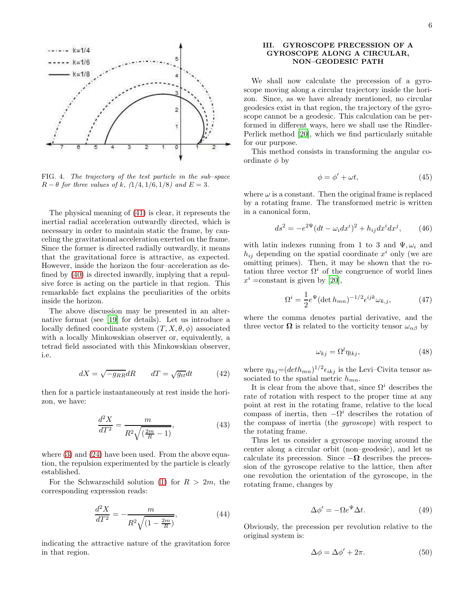

FIG. 4. *The trajectory of the test particle in the sub–space*  $R - \theta$  *for three values of k,* (1/4, 1/6, 1/8*)* and  $E = 3$ .

The physical meaning of [\(41\)](#page-4-2) is clear, it represents the inertial radial acceleration outwardly directed, which is necessary in order to maintain static the frame, by canceling the gravitational acceleration exerted on the frame. Since the former is directed radially outwardly, it means that the gravitational force is attractive, as expected. However, inside the horizon the four–acceleration as defined by [\(40\)](#page-4-3) is directed inwardly, implying that a repulsive force is acting on the particle in that region. This remarkable fact explains the peculiarities of the orbits inside the horizon.

The above discussion may be presented in an alternative format (see [\[19\]](#page-7-10) for details). Let us introduce a locally defined coordinate system  $(T, X, \theta, \phi)$  associated with a locally Minkowskian observer or, equivalently, a tetrad field associated with this Minkowskian observer, i.e.

$$
dX = \sqrt{-g_{RR}}dR \qquad dT = \sqrt{g_{tt}}dt \tag{42}
$$

then for a particle instantaneously at rest inside the horizon, we have:

$$
\frac{d^2X}{dT^2} = \frac{m}{R^2\sqrt{\left(\frac{2m}{R} - 1\right)}},\tag{43}
$$

where  $(3)$  and  $(24)$  have been used. From the above equation, the repulsion experimented by the particle is clearly established.

For the Schwarzschild solution [\(1\)](#page-0-4) for  $R > 2m$ , the corresponding expression reads:

$$
\frac{d^2X}{dT^2} = -\frac{m}{R^2\sqrt{(1 - \frac{2m}{R})}},\tag{44}
$$

indicating the attractive nature of the gravitation force in that region.

### III. GYROSCOPE PRECESSION OF A GYROSCOPE ALONG A CIRCULAR, NON–GEODESIC PATH

We shall now calculate the precession of a gyroscope moving along a circular trajectory inside the horizon. Since, as we have already mentioned, no circular geodesics exist in that region, the trajectory of the gyroscope cannot be a geodesic. This calculation can be performed in different ways, here we shall use the Rindler-Perlick method [\[20\]](#page-7-11), which we find particularly suitable for our purpose.

This method consists in transforming the angular coordinate  $\phi$  by

$$
\phi = \phi' + \omega t, \tag{45}
$$

where  $\omega$  is a constant. Then the original frame is replaced by a rotating frame. The transformed metric is written in a canonical form,

$$
ds^{2} = -e^{2\Psi}(dt - \omega_{i}dx^{i})^{2} + h_{ij}dx^{i}dx^{j}, \qquad (46)
$$

with latin indexes running from 1 to 3 and  $\Psi, \omega_i$  and  $h_{ij}$  depending on the spatial coordinate  $x^i$  only (we are omitting primes). Then, it may be shown that the rotation three vector  $\Omega^i$  of the congruence of world lines  $x^i = constant$  is given by [\[20](#page-7-11)],

$$
\Omega^{i} = \frac{1}{2} e^{\Psi} (\det h_{mn})^{-1/2} \epsilon^{ijk} \omega_{k,j}, \qquad (47)
$$

where the comma denotes partial derivative, and the three vector  $\Omega$  is related to the vorticity tensor  $\omega_{\alpha\beta}$  by

$$
\omega_{kj} = \Omega^l \eta_{lkj},\tag{48}
$$

where  $\eta_{lkj} = (deth_{mn})^{1/2} \epsilon_{ikj}$  is the Levi-Civita tensor associated to the spatial metric  $h_{mn}$ .

It is clear from the above that, since  $\Omega^i$  describes the rate of rotation with respect to the proper time at any point at rest in the rotating frame, relative to the local compass of inertia, then  $-\Omega^i$  describes the rotation of the compass of inertia (the gyroscope) with respect to the rotating frame.

Thus let us consider a gyroscope moving around the center along a circular orbit (non–geodesic), and let us calculate its precession. Since  $-\Omega$  describes the precession of the gyroscope relative to the lattice, then after one revolution the orientation of the gyroscope, in the rotating frame, changes by

$$
\Delta \phi' = -\Omega e^{\Psi} \Delta t. \tag{49}
$$

Obviously, the precession per revolution relative to the original system is:

$$
\Delta \phi = \Delta \phi' + 2\pi. \tag{50}
$$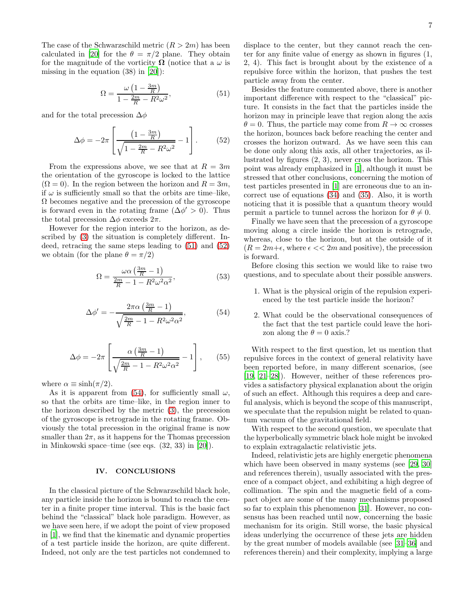The case of the Schwarzschild metric  $(R > 2m)$  has been calculated in [\[20\]](#page-7-11) for the  $\theta = \pi/2$  plane. They obtain for the magnitude of the vorticity  $\Omega$  (notice that a  $\omega$  is missing in the equation (38) in [\[20](#page-7-11)]):

<span id="page-6-1"></span><span id="page-6-0"></span>
$$
\Omega = \frac{\omega \left(1 - \frac{3m}{R}\right)}{1 - \frac{2m}{R} - R^2 \omega^2},\tag{51}
$$

and for the total precession  $\Delta \phi$ 

$$
\Delta \phi = -2\pi \left[ \frac{\left(1 - \frac{3m}{R}\right)}{\sqrt{1 - \frac{2m}{R} - R^2 \omega^2}} - 1 \right].
$$
 (52)

From the expressions above, we see that at  $R = 3m$ the orientation of the gyroscope is locked to the lattice  $(\Omega = 0)$ . In the region between the horizon and  $R = 3m$ , if  $\omega$  is sufficiently small so that the orbits are time–like,  $\Omega$  becomes negative and the precession of the gyroscope is forward even in the rotating frame  $(\Delta \phi' > 0)$ . Thus the total precession  $\Delta \phi$  exceeds  $2\pi$ .

However for the region interior to the horizon, as described by [\(3\)](#page-1-0) the situation is completely different. Indeed, retracing the same steps leading to [\(51\)](#page-6-0) and [\(52\)](#page-6-1) we obtain (for the plane  $\theta = \pi/2$ )

$$
\Omega = \frac{\omega \alpha \left(\frac{3m}{R} - 1\right)}{\frac{2m}{R} - 1 - R^2 \omega^2 \alpha^2},\tag{53}
$$

<span id="page-6-2"></span>
$$
\Delta \phi' = -\frac{2\pi\alpha \left(\frac{3m}{R} - 1\right)}{\sqrt{\frac{2m}{R} - 1 - R^2 \omega^2 \alpha^2}},\tag{54}
$$

$$
\Delta \phi = -2\pi \left[ \frac{\alpha \left( \frac{3m}{R} - 1 \right)}{\sqrt{\frac{2m}{R} - 1 - R^2 \omega^2 \alpha^2}} - 1 \right], \quad (55)
$$

where  $\alpha \equiv \sinh(\pi/2)$ .

As it is apparent from [\(54\)](#page-6-2), for sufficiently small  $\omega$ , so that the orbits are time–like, in the region inner to the horizon described by the metric [\(3\)](#page-1-0), the precession of the gyroscope is retrograde in the rotating frame. Obviously the total precession in the original frame is now smaller than  $2\pi$ , as it happens for the Thomas precession in Minkowski space–time (see eqs. (32, 33) in [\[20\]](#page-7-11)).

#### IV. CONCLUSIONS

In the classical picture of the Schwarzschild black hole, any particle inside the horizon is bound to reach the center in a finite proper time interval. This is the basic fact behind the "classical" black hole paradigm. However, as we have seen here, if we adopt the point of view proposed in [\[1\]](#page-7-0), we find that the kinematic and dynamic properties of a test particle inside the horizon, are quite different. Indeed, not only are the test particles not condemned to

displace to the center, but they cannot reach the center for any finite value of energy as shown in figures (1, 2, 4). This fact is brought about by the existence of a repulsive force within the horizon, that pushes the test particle away from the center.

Besides the feature commented above, there is another important difference with respect to the "classical" picture. It consists in the fact that the particles inside the horizon may in principle leave that region along the axis  $\theta = 0$ . Thus, the particle may come from  $R \to \infty$  crosses the horizon, bounces back before reaching the center and crosses the horizon outward. As we have seen this can be done only along this axis, all other trajectories, as illustrated by figures (2, 3), never cross the horizon. This point was already emphasized in [\[1](#page-7-0)], although it must be stressed that other conclusions, concerning the motion of test particles presented in [\[1](#page-7-0)] are erroneous due to an incorrect use of equations [\(34\)](#page-3-1) and [\(35\)](#page-3-2). Also, it is worth noticing that it is possible that a quantum theory would permit a particle to tunnel across the horizon for  $\theta \neq 0$ .

Finally we have seen that the precession of a gyroscope moving along a circle inside the horizon is retrograde, whereas, close to the horizon, but at the outside of it  $(R = 2m + \epsilon,$  where  $\epsilon \ll 2m$  and positive), the precession is forward.

Before closing this section we would like to raise two questions, and to speculate about their possible answers.

- 1. What is the physical origin of the repulsion experienced by the test particle inside the horizon?
- 2. What could be the observational consequences of the fact that the test particle could leave the horizon along the  $\theta = 0$  axis.?

With respect to the first question, let us mention that repulsive forces in the context of general relativity have been reported before, in many different scenarios, (see [\[19,](#page-7-10) [21](#page-7-12)[–28\]](#page-7-13)). However, neither of these references provides a satisfactory physical explanation about the origin of such an effect. Although this requires a deep and careful analysis, which is beyond the scope of this manuscript, we speculate that the repulsion might be related to quantum vacuum of the gravitational field.

With respect to the second question, we speculate that the hyperbolically symmetric black hole might be invoked to explain extragalactic relativistic jets.

Indeed, relativistic jets are highly energetic phenomena which have been observed in many systems (see [\[29](#page-7-14), [30](#page-7-15)] and references therein), usually associated with the presence of a compact object, and exhibiting a high degree of collimation. The spin and the magnetic field of a compact object are some of the many mechanisms proposed so far to explain this phenomenon [\[31](#page-7-16)]. However, no consensus has been reached until now, concerning the basic mechanism for its origin. Still worse, the basic physical ideas underlying the occurrence of these jets are hidden by the great number of models available (see [\[31](#page-7-16)[–36](#page-7-17)] and references therein) and their complexity, implying a large